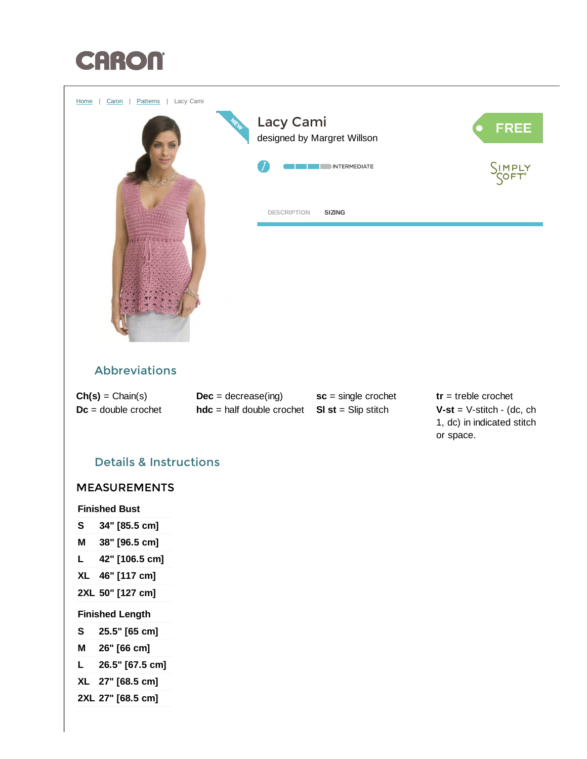



## Abbreviations

| $Ch(s) = Chain(s)$    |
|-----------------------|
| $Dc =$ double crochet |

 $Dec = decrease(ing)$  $hdc = half double crochet$  SI st = Slip stitch

<span id="page-0-0"></span>sc = single crochet

tr = treble crochet  $V-st = V-stitch - (dc, ch)$ 1, dc) in indicated stitch or space.

# Details & Instructions

## MEASUREMENTS

Finished Bust

- S 34" [85.5 cm]
- M 38" [96.5 cm]
- L 42" [106.5 cm]
- XL 46" [117 cm]
- 2XL 50" [127 cm]

### Finished Length

- S 25.5" [65 cm]
- M 26" [66 cm]
- L 26.5" [67.5 cm]
- XL 27" [68.5 cm]
- 2XL 27" [68.5 cm]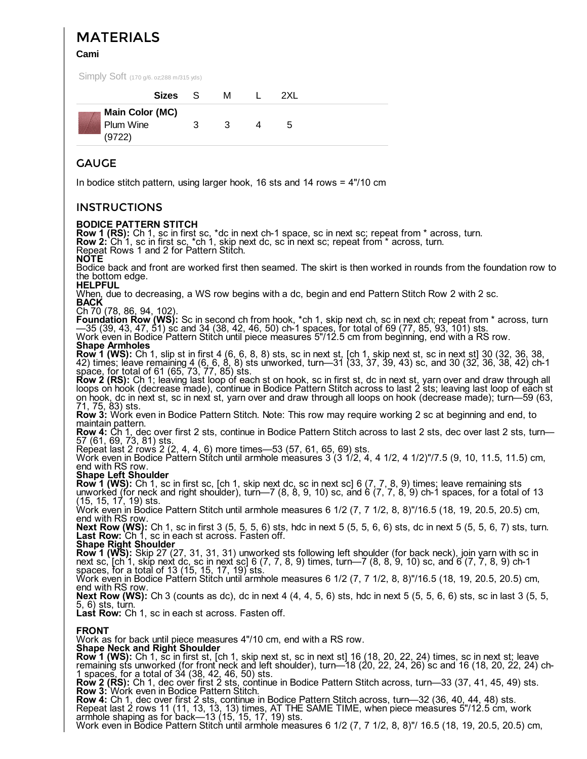# MATERIALS

Cami

Simply Soft (170 g/6. oz;288 m/315 yds)

| Sizes S                                       |    | м |   | 2XI. |  |
|-----------------------------------------------|----|---|---|------|--|
| <b>Main Color (MC)</b><br>Plum Wine<br>(9722) | 3. | 3 | 4 | 5    |  |

## GAUGE

In bodice stitch pattern, using larger hook, 16 sts and 14 rows = 4"/10 cm

### **INSTRUCTIONS**

### BODICE PATTERN STITCH

**Row 1 (RS):** Ch 1, sc in first sc, \*dc in next ch-1 space, sc in next sc; repeat from \* across, turn.<br>**Row 2:** Ch 1, sc in first sc, \*ch 1, skip next dc, sc in next sc; repeat from \* across, turn.<br>Repeat Rows 1 and 2 for Bodice back and front are worked first then seamed. The skirt is then worked in rounds from the foundation row to the bottom edge.<br>HELPFUL When, due to decreasing, a WS row begins with a dc, begin and end Pattern Stitch Row 2 with 2 sc.<br>BACK<br>Ch 70 (78, 86, 94, 102). Foundation Row (WS): Sc in second ch from hook, \*ch 1, skip next ch, sc in next ch; repeat from \* across, turn<br>—35 (39, 43, 47, 51) sc and 34 (38, 42, 46, 50) ch-1 spaces, for total of 69 (77, 85, 93, 101) sts.<br>Work even i **Row 1 (WS):** Ch 1, slip st in first 4 (6, 6, 8, 8) sts, sc in next st, [ch 1, skip next st, sc in next st] 30 (32, 36, 38, 42) times; leave remaining 4 (6, 6, 8, 8) sts unworked, turn—31 (33, 37, 39, 43) sc, and 30 (32, 36, 38, 42) ch-1 space, for total of 61 (65, 73, 77, 85) sts.<br>**Row 2 (RS):** Ch 1; leaving last loop of each st on hook, sc in first st, dc in next st, yarn over and draw through all loops on hook (decrease made), continue in Bodice Pattern Stitch across to last 2 sts; leaving last loop of each st on hook, dc in next st, sc in next st, yarn over and draw through all loops on hook (decrease made); turn—59 (63, 71, 75, 83) sts.<br> **Row 3:** Work even in Bodice Pattern Stitch. Note: This row may require working 2 sc at beginning and end, to maintain pattern. maintain pattern.<br>Row 4: Ch 1, dec over first 2 sts, continue in Bodice Pattern Stitch across to last 2 sts, dec over last 2 sts, turn— 57 (61, 69, 73, 81) sts.<br>Repeat last 2 rows 2 (2, 4, 4, 6) more times—53 (57, 61, 65, 69) sts.<br>Work even in Bodice Pattern Stitch until armhole measures 3 (3 1/2, 4, 4 1/2, 4 1/2)"/7.5 (9, 10, 11.5, 11.5) cm, end with RS row.<br>**Shape Left Shoulder Row 1 (WS):** Ch 1, sc in first sc, [ch 1, skip next dc, sc in next sc] 6 (7, 7, 8, 9) times; leave remaining sts unworked (for neck and right shoulder), turn—7 (8, 8, 9, 10) sc, and 6 (7, 7, 8, 9) ch-1 spaces, for a total of 13 (15, 15, 17, 19) sts.<br>Work even in Bodice Pattern Stitch until armhole measures 6 1/2 (7, 7 1/2, 8, 8)"/16.5 (18, 19, 20.5, 20.5) cm, end with RS row.<br>Next Row (WS): Ch 1, sc in first 3 (5, 5, 5, 6) sts, hdc in next 5 (5, 5, 6, 6) sts, dc in next 5 (5, 5, 6, 7) sts, turn. Last Row: Ch 1, sc in each st across. Fasten off. **Row 1 (WS):** Skip 27 (27, 31, 31, 31) unworked sts following left shoulder (for back neck), join yarn with sc in next sc, [ch 1, skip next dc, sc in next sc] 6 (7, 7, 8, 9) times, turn—7 (8, 8, 9, 10) sc, and 6 (7, 7, 8, 9) ch-1 spaces, for a total of 13 (15, 15, 17, 19) sts.<br>Work even in Bodice Pattern Stitch until armhole measures 6 1/2 (7, 7 1/2, 8, 8)"/16.5 (18, 19, 20.5, 20.5) cm,

end with RS row.<br> **Next Row (WS):** Ch 3 (counts as dc), dc in next 4 (4, 4, 5, 6) sts, hdc in next 5 (5, 5, 6, 6) sts, sc in last 3 (5, 5, 5, 6) sts, turn.

**Last Row:** Ch 1, sc in each st across. Fasten off.

**FRONT**<br>Work as for back until piece measures 4"/10 cm, end with a RS row. Work as for back until piece measures 4"/10 cm, end with a RS row.<br>**Shape Neck and Right Shoulder** 

**Row 1 (WS):** Ch 1, sc in first st, [ch 1, skip next st, sc in next st] 16 (18, 20, 22, 24) times, sc in next st; leave remaining sts unworked (for front neck and left shoulder), turn—18 (20, 22, 24, 26) sc and 16 (18, 20, 22, 24) ch-

Figures, for a total of 34 (38, 42, 46, 50) sts.<br>Row 2 (RS): Ch 1, dec over first 2 sts, continue in Bodice Pattern Stitch across, turn—33 (37, 41, 45, 49) sts.<br>Row 3: Work even in Bodice Pattern Stitch.

Arm and the shaping as for back as for back as for back as for back as for back and a shaping as for back—13 (15, 17, 19) sts.<br>Repeat last 2 rows 11 (11, 13, 13, 13) times, AT THE SAME TIME, when piece measures 5"/12.5 cm,